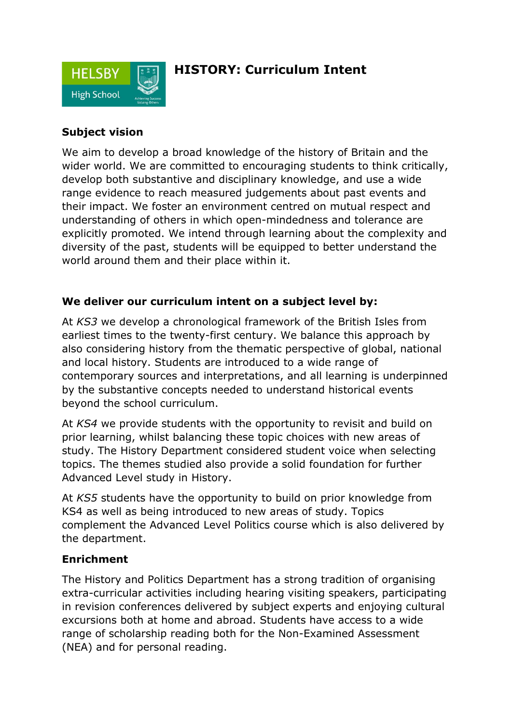

## **HISTORY: Curriculum Intent**

### **Subject vision**

We aim to develop a broad knowledge of the history of Britain and the wider world. We are committed to encouraging students to think critically, develop both substantive and disciplinary knowledge, and use a wide range evidence to reach measured judgements about past events and their impact. We foster an environment centred on mutual respect and understanding of others in which open-mindedness and tolerance are explicitly promoted. We intend through learning about the complexity and diversity of the past, students will be equipped to better understand the world around them and their place within it.

### **We deliver our curriculum intent on a subject level by:**

At *KS3* we develop a chronological framework of the British Isles from earliest times to the twenty-first century. We balance this approach by also considering history from the thematic perspective of global, national and local history. Students are introduced to a wide range of contemporary sources and interpretations, and all learning is underpinned by the substantive concepts needed to understand historical events beyond the school curriculum.

At *KS4* we provide students with the opportunity to revisit and build on prior learning, whilst balancing these topic choices with new areas of study. The History Department considered student voice when selecting topics. The themes studied also provide a solid foundation for further Advanced Level study in History.

At *KS5* students have the opportunity to build on prior knowledge from KS4 as well as being introduced to new areas of study. Topics complement the Advanced Level Politics course which is also delivered by the department.

### **Enrichment**

The History and Politics Department has a strong tradition of organising extra-curricular activities including hearing visiting speakers, participating in revision conferences delivered by subject experts and enjoying cultural excursions both at home and abroad. Students have access to a wide range of scholarship reading both for the Non-Examined Assessment (NEA) and for personal reading.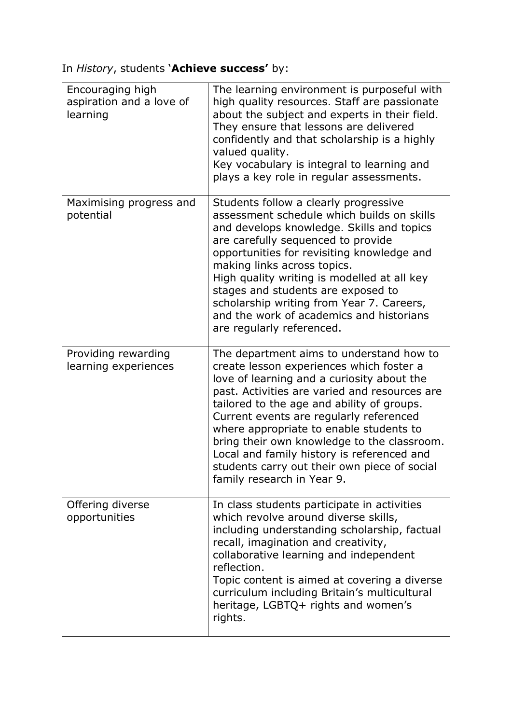In *History*, students '**Achieve success'** by:

| Encouraging high<br>aspiration and a love of<br>learning | The learning environment is purposeful with<br>high quality resources. Staff are passionate<br>about the subject and experts in their field.<br>They ensure that lessons are delivered<br>confidently and that scholarship is a highly<br>valued quality.<br>Key vocabulary is integral to learning and<br>plays a key role in regular assessments.                                                                                                                                                |
|----------------------------------------------------------|----------------------------------------------------------------------------------------------------------------------------------------------------------------------------------------------------------------------------------------------------------------------------------------------------------------------------------------------------------------------------------------------------------------------------------------------------------------------------------------------------|
| Maximising progress and<br>potential                     | Students follow a clearly progressive<br>assessment schedule which builds on skills<br>and develops knowledge. Skills and topics<br>are carefully sequenced to provide<br>opportunities for revisiting knowledge and<br>making links across topics.<br>High quality writing is modelled at all key<br>stages and students are exposed to<br>scholarship writing from Year 7. Careers,<br>and the work of academics and historians<br>are regularly referenced.                                     |
| Providing rewarding<br>learning experiences              | The department aims to understand how to<br>create lesson experiences which foster a<br>love of learning and a curiosity about the<br>past. Activities are varied and resources are<br>tailored to the age and ability of groups.<br>Current events are regularly referenced<br>where appropriate to enable students to<br>bring their own knowledge to the classroom.<br>Local and family history is referenced and<br>students carry out their own piece of social<br>family research in Year 9. |
| Offering diverse<br>opportunities                        | In class students participate in activities<br>which revolve around diverse skills,<br>including understanding scholarship, factual<br>recall, imagination and creativity,<br>collaborative learning and independent<br>reflection.<br>Topic content is aimed at covering a diverse<br>curriculum including Britain's multicultural<br>heritage, LGBTQ+ rights and women's<br>rights.                                                                                                              |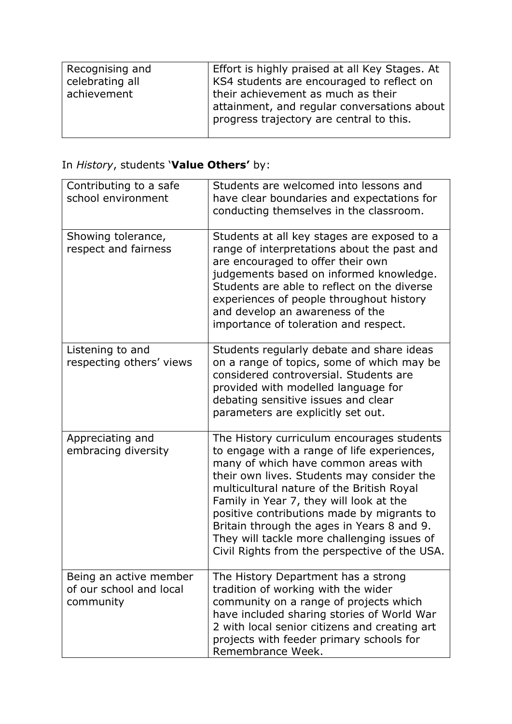| Recognising and | Effort is highly praised at all Key Stages. At                                                                                |
|-----------------|-------------------------------------------------------------------------------------------------------------------------------|
| celebrating all | KS4 students are encouraged to reflect on                                                                                     |
| achievement     | their achievement as much as their<br>attainment, and regular conversations about<br>progress trajectory are central to this. |

# In *History*, students '**Value Others'** by:

| Contributing to a safe<br>school environment                   | Students are welcomed into lessons and<br>have clear boundaries and expectations for<br>conducting themselves in the classroom.                                                                                                                                                                                                                                                                                                                                     |
|----------------------------------------------------------------|---------------------------------------------------------------------------------------------------------------------------------------------------------------------------------------------------------------------------------------------------------------------------------------------------------------------------------------------------------------------------------------------------------------------------------------------------------------------|
| Showing tolerance,<br>respect and fairness                     | Students at all key stages are exposed to a<br>range of interpretations about the past and<br>are encouraged to offer their own<br>judgements based on informed knowledge.<br>Students are able to reflect on the diverse<br>experiences of people throughout history<br>and develop an awareness of the<br>importance of toleration and respect.                                                                                                                   |
| Listening to and<br>respecting others' views                   | Students regularly debate and share ideas<br>on a range of topics, some of which may be<br>considered controversial. Students are<br>provided with modelled language for<br>debating sensitive issues and clear<br>parameters are explicitly set out.                                                                                                                                                                                                               |
| Appreciating and<br>embracing diversity                        | The History curriculum encourages students<br>to engage with a range of life experiences,<br>many of which have common areas with<br>their own lives. Students may consider the<br>multicultural nature of the British Royal<br>Family in Year 7, they will look at the<br>positive contributions made by migrants to<br>Britain through the ages in Years 8 and 9.<br>They will tackle more challenging issues of<br>Civil Rights from the perspective of the USA. |
| Being an active member<br>of our school and local<br>community | The History Department has a strong<br>tradition of working with the wider<br>community on a range of projects which<br>have included sharing stories of World War<br>2 with local senior citizens and creating art<br>projects with feeder primary schools for<br>Remembrance Week.                                                                                                                                                                                |